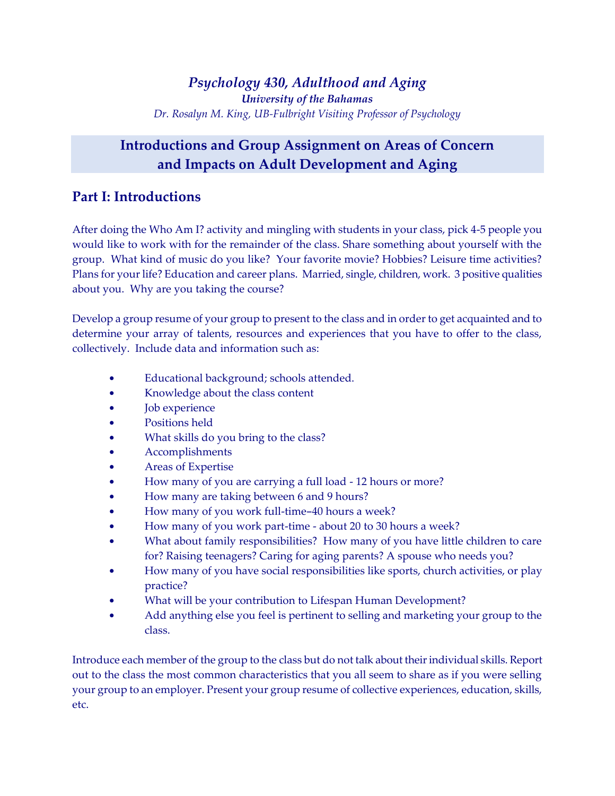## **Introductions and Group Assignment on Areas of Concern and Impacts on Adult Development and Aging**

#### **Part I: Introductions**

After doing the Who Am I? activity and mingling with students in your class, pick 4-5 people you would like to work with for the remainder of the class. Share something about yourself with the group. What kind of music do you like? Your favorite movie? Hobbies? Leisure time activities? Plans for your life? Education and career plans. Married, single, children, work. 3 positive qualities about you. Why are you taking the course?

Develop a group resume of your group to present to the class and in order to get acquainted and to determine your array of talents, resources and experiences that you have to offer to the class, collectively. Include data and information such as:

- Educational background; schools attended.
- Knowledge about the class content
- Job experience
- Positions held
- What skills do you bring to the class?
- Accomplishments
- Areas of Expertise
- How many of you are carrying a full load 12 hours or more?
- How many are taking between 6 and 9 hours?
- How many of you work full-time-40 hours a week?
- How many of you work part-time about 20 to 30 hours a week?
- What about family responsibilities? How many of you have little children to care for? Raising teenagers? Caring for aging parents? A spouse who needs you?
- How many of you have social responsibilities like sports, church activities, or play practice?
- What will be your contribution to Lifespan Human Development?
- Add anything else you feel is pertinent to selling and marketing your group to the class.

Introduce each member of the group to the class but do not talk about their individual skills. Report out to the class the most common characteristics that you all seem to share as if you were selling your group to an employer. Present your group resume of collective experiences, education, skills, etc.